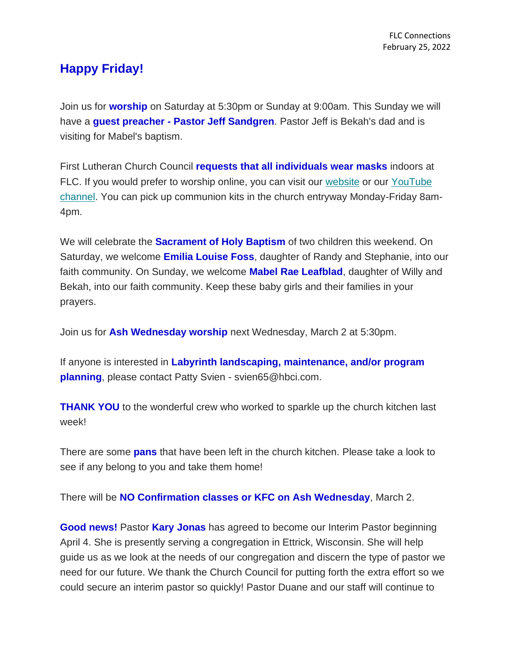## **Happy Friday!**

Join us for **worship** on Saturday at 5:30pm or Sunday at 9:00am. This Sunday we will have a **guest preacher - Pastor Jeff Sandgren**. Pastor Jeff is Bekah's dad and is visiting for Mabel's baptism.

First Lutheran Church Council **requests that all individuals wear masks** indoors at FLC. If you would prefer to worship online, you can visit our [website](https://www.firstlc.org/index.php?) or our [YouTube](https://www.youtube.com/channel/UC9XdNg_hQSX1DHMunNI8WQw/featured)  [channel.](https://www.youtube.com/channel/UC9XdNg_hQSX1DHMunNI8WQw/featured) You can pick up communion kits in the church entryway Monday-Friday 8am-4pm.

We will celebrate the **Sacrament of Holy Baptism** of two children this weekend. On Saturday, we welcome **Emilia Louise Foss**, daughter of Randy and Stephanie, into our faith community. On Sunday, we welcome **Mabel Rae Leafblad**, daughter of Willy and Bekah, into our faith community. Keep these baby girls and their families in your prayers.

Join us for **Ash Wednesday worship** next Wednesday, March 2 at 5:30pm.

If anyone is interested in **Labyrinth landscaping, maintenance, and/or program planning**, please contact Patty Svien - svien65@hbci.com.

**THANK YOU** to the wonderful crew who worked to sparkle up the church kitchen last week!

There are some **pans** that have been left in the church kitchen. Please take a look to see if any belong to you and take them home!

There will be **NO Confirmation classes or KFC on Ash Wednesday**, March 2.

**Good news!** Pastor **Kary Jonas** has agreed to become our Interim Pastor beginning April 4. She is presently serving a congregation in Ettrick, Wisconsin. She will help guide us as we look at the needs of our congregation and discern the type of pastor we need for our future. We thank the Church Council for putting forth the extra effort so we could secure an interim pastor so quickly! Pastor Duane and our staff will continue to